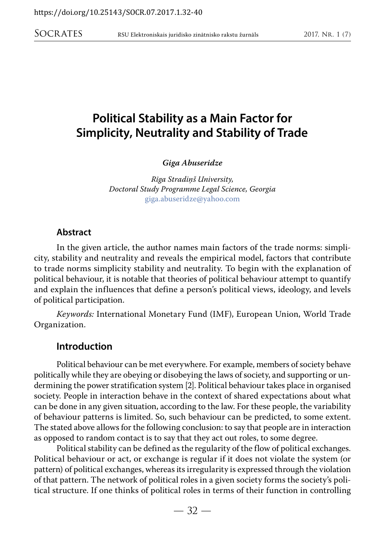*Giga Abuseridze*

*Rīga Stradiņš University, Doctoral Study Programme Legal Science, Georgia*  giga.abuseridze@yahoo.com

#### **Abstract**

In the given article, the author names main factors of the trade norms: simplicity, stability and neutrality and reveals the empirical model, factors that contribute to trade norms simplicity stability and neutrality. To begin with the explanation of political behaviour, it is notable that theories of political behaviour attempt to quantify and explain the influences that define a person's political views, [ideology](http://en.wikipedia.org/wiki/Ideology), and levels of political participation.

*Keywords:* International Monetary Fund (IMF), European Union, World Trade Organization.

#### **Introduction**

Political behaviour can be met everywhere. For example, members of society behave politically while they are obeying or disobeying the laws of society, and supporting or undermining the power stratification system [2]. Political behaviour takes place in organised society. People in interaction behave in the context of shared expectations about what can be done in any given situation, according to the law. For these people, the variability of behaviour patterns is limited. So, such behaviour can be predicted, to some extent. The stated above allows for the following conclusion: to say that people are in interaction as opposed to random contact is to say that they act out roles, to some degree.

Political stability can be defined as the regularity of the flow of political exchanges. Political behaviour or act, or exchange is regular if it does not violate the system (or pattern) of political exchanges, whereas its irregularity is expressed through the violation of that pattern. The network of political roles in a given society forms the society's political structure. If one thinks of political roles in terms of their function in controlling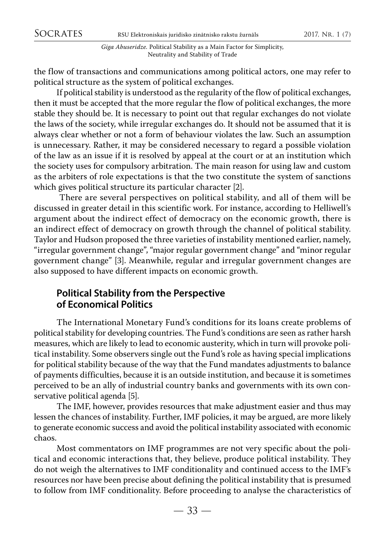the flow of transactions and communications among political actors, one may refer to political structure as the system of political exchanges.

If political stability is understood as the regularity of the flow of political exchanges, then it must be accepted that the more regular the flow of political exchanges, the more stable they should be. It is necessary to point out that regular exchanges do not violate the laws of the society, while irregular exchanges do. It should not be assumed that it is always clear whether or not a form of behaviour violates the law. Such an assumption is unnecessary. Rather, it may be considered necessary to regard a possible violation of the law as an issue if it is resolved by appeal at the court or at an institution which the society uses for compulsory arbitration. The main reason for using law and custom as the arbiters of role expectations is that the two constitute the system of sanctions which gives political structure its particular character [2].

 There are several perspectives on political stability, and all of them will be discussed in greater detail in this scientific work. For instance, according to Helliwell's argument about the indirect effect of democracy on the economic growth, there is an indirect effect of democracy on growth through the channel of political stability. Taylor and Hudson proposed the three varieties of instability mentioned earlier, namely, "irregular government change", "major regular government change" and "minor regular government change" [3]. Meanwhile, regular and irregular government changes are also supposed to have different impacts on economic growth.

## **Political Stability from the Perspective of Economical Politics**

The International Monetary Fund's conditions for its loans create problems of political stability for developing countries. The Fund's conditions are seen as rather harsh measures, which are likely to lead to economic austerity, which in turn will provoke political instability. Some observers single out the Fund's role as having special implications for political stability because of the way that the Fund mandates adjustments to balance of payments difficulties, because it is an outside institution, and because it is sometimes perceived to be an ally of industrial country banks and governments with its own conservative political agenda [5].

The IMF, however, provides resources that make adjustment easier and thus may lessen the chances of instability. Further, IMF policies, it may be argued, are more likely to generate economic success and avoid the political instability associated with economic chaos.

Most commentators on IMF programmes are not very specific about the political and economic interactions that, they believe, produce political instability. They do not weigh the alternatives to IMF conditionality and continued access to the IMF's resources nor have been precise about defining the political instability that is presumed to follow from IMF conditionality. Before proceeding to analyse the characteristics of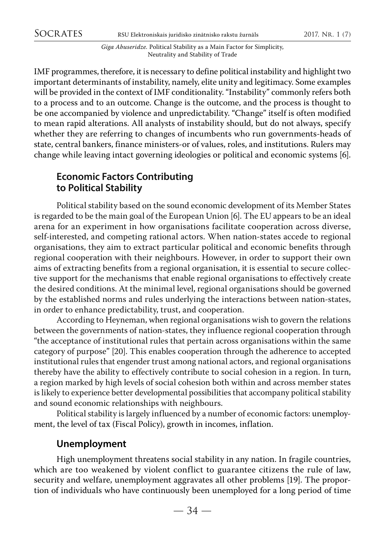IMF programmes, therefore, it is necessary to define political instability and highlight two important determinants of instability, namely, elite unity and legitimacy. Some examples will be provided in the context of IMF conditionality. "Instability" commonly refers both to a process and to an outcome. Change is the outcome, and the process is thought to be one accompanied by violence and unpredictability. "Change" itself is often modified to mean rapid alterations. All analysts of instability should, but do not always, specify whether they are referring to changes of incumbents who run governments-heads of state, central bankers, finance ministers-or of values, roles, and institutions. Rulers may change while leaving intact governing ideologies or political and economic systems [6].

## **Economic Factors Contributing to Political Stability**

Political stability based on the sound economic development of its Member States is regarded to be the main goal of the European Union [6]. The EU appears to be an ideal arena for an experiment in how organisations facilitate cooperation across diverse, self-interested, and competing rational actors. When nation-states accede to regional organisations, they aim to extract particular political and economic benefits through regional cooperation with their neighbours. However, in order to support their own aims of extracting benefits from a regional organisation, it is essential to secure collective support for the mechanisms that enable regional organisations to effectively create the desired conditions. At the minimal level, regional organisations should be governed by the established norms and rules underlying the interactions between nation-states, in order to enhance predictability, trust, and cooperation.

According to Heyneman, when regional organisations wish to govern the relations between the governments of nation-states, they influence regional cooperation through "the acceptance of institutional rules that pertain across organisations within the same category of purpose" [20]. This enables cooperation through the adherence to accepted institutional rules that engender trust among national actors, and regional organisations thereby have the ability to effectively contribute to social cohesion in a region. In turn, a region marked by high levels of social cohesion both within and across member states is likely to experience better developmental possibilities that accompany political stability and sound economic relationships with neighbours.

Political stability is largely influenced by a number of economic factors: unemployment, the level of tax (Fiscal Policy), growth in incomes, inflation.

#### **Unemployment**

High unemployment threatens social stability in any nation. In fragile countries, which are too weakened by violent conflict to guarantee citizens the rule of law, security and welfare, unemployment aggravates all other problems [19]. The proportion of individuals who have continuously been unemployed for a long period of time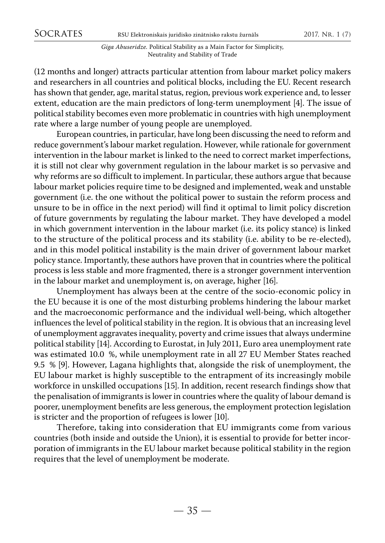(12 months and longer) attracts particular attention from labour market policy makers and researchers in all countries and political blocks, including the EU. Recent research has shown that gender, age, marital status, region, previous work experience and, to lesser extent, education are the main predictors of long-term unemployment [4]. The issue of political stability becomes even more problematic in countries with high unemployment rate where a large number of young people are unemployed.

European countries, in particular, have long been discussing the need to reform and reduce government's labour market regulation. However, while rationale for government intervention in the labour market is linked to the need to correct market imperfections, it is still not clear why government regulation in the labour market is so pervasive and why reforms are so difficult to implement. In particular, these authors argue that because labour market policies require time to be designed and implemented, weak and unstable government (i.e. the one without the political power to sustain the reform process and unsure to be in office in the next period) will find it optimal to limit policy discretion of future governments by regulating the labour market. They have developed a model in which government intervention in the labour market (i.e. its policy stance) is linked to the structure of the political process and its stability (i.e. ability to be re-elected), and in this model political instability is the main driver of government labour market policy stance. Importantly, these authors have proven that in countries where the political process is less stable and more fragmented, there is a stronger government intervention in the labour market and unemployment is, on average, higher [16].

Unemployment has always been at the centre of the socio-economic policy in the EU because it is one of the most disturbing problems hindering the labour market and the macroeconomic performance and the individual well-being, which altogether influences the level of political stability in the region. It is obvious that an increasing level of unemployment aggravates inequality, poverty and crime issues that always undermine political stability [14]. According to Eurostat, in July 2011, Euro area unemployment rate was estimated 10.0 %, while unemployment rate in all 27 EU Member States reached 9.5 % [9]. However, Lagana highlights that, alongside the risk of unemployment, the EU labour market is highly susceptible to the entrapment of its increasingly mobile workforce in unskilled occupations [15]. In addition, recent research findings show that the penalisation of immigrants is lower in countries where the quality of labour demand is poorer, unemployment benefits are less generous, the employment protection legislation is stricter and the proportion of refugees is lower [10].

Therefore, taking into consideration that EU immigrants come from various countries (both inside and outside the Union), it is essential to provide for better incorporation of immigrants in the EU labour market because political stability in the region requires that the level of unemployment be moderate.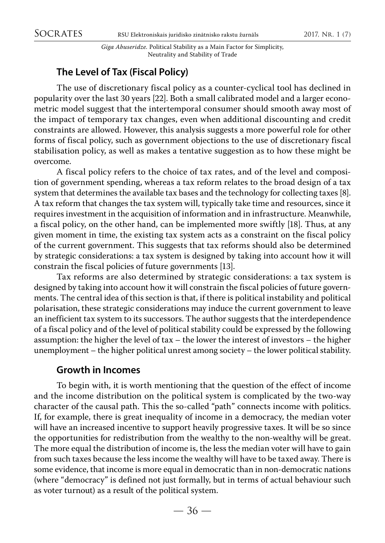## **The Level of Tax (Fiscal Policy)**

The use of discretionary fiscal policy as a counter-cyclical tool has declined in popularity over the last 30 years [22]. Both a small calibrated model and a larger econometric model suggest that the intertemporal consumer should smooth away most of the impact of temporary tax changes, even when additional discounting and credit constraints are allowed. However, this analysis suggests a more powerful role for other forms of fiscal policy, such as government objections to the use of discretionary fiscal stabilisation policy, as well as makes a tentative suggestion as to how these might be overcome.

A fiscal policy refers to the choice of tax rates, and of the level and composition of government spending, whereas a tax reform relates to the broad design of a tax system that determines the available tax bases and the technology for collecting taxes [8]. A tax reform that changes the tax system will, typically take time and resources, since it requires investment in the acquisition of information and in infrastructure. Meanwhile, a fiscal policy, on the other hand, can be implemented more swiftly [18]. Thus, at any given moment in time, the existing tax system acts as a constraint on the fiscal policy of the current government. This suggests that tax reforms should also be determined by strategic considerations: a tax system is designed by taking into account how it will constrain the fiscal policies of future governments [13].

Tax reforms are also determined by strategic considerations: a tax system is designed by taking into account how it will constrain the fiscal policies of future governments. The central idea of this section is that, if there is political instability and political polarisation, these strategic considerations may induce the current government to leave an inefficient tax system to its successors. The author suggests that the interdependence of a fiscal policy and of the level of political stability could be expressed by the following assumption: the higher the level of tax – the lower the interest of investors – the higher unemployment – the higher political unrest among society – the lower political stability.

## **Growth in Incomes**

To begin with, it is worth mentioning that the question of the effect of income and the income distribution on the political system is complicated by the two-way character of the causal path. This the so-called "path" connects income with politics. If, for example, there is great inequality of income in a democracy, the median voter will have an increased incentive to support heavily progressive taxes. It will be so since the opportunities for redistribution from the wealthy to the non-wealthy will be great. The more equal the distribution of income is, the less the median voter will have to gain from such taxes because the less income the wealthy will have to be taxed away. There is some evidence, that income is more equal in democratic than in non-democratic nations (where "democracy" is defined not just formally, but in terms of actual behaviour such as voter turnout) as a result of the political system.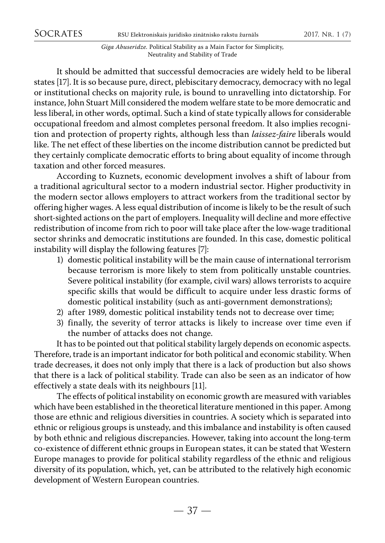It should be admitted that successful democracies are widely held to be liberal states [17]. It is so because pure, direct, plebiscitary democracy, democracy with no legal or institutional checks on majority rule, is bound to unravelling into dictatorship. For instance, John Stuart Mill considered the modem welfare state to be more democratic and less liberal, in other words, optimal. Such a kind of state typically allows for considerable occupational freedom and almost completes personal freedom. It also implies recognition and protection of property rights, although less than *laissez-faire* liberals would like. The net effect of these liberties on the income distribution cannot be predicted but they certainly complicate democratic efforts to bring about equality of income through taxation and other forced measures.

According to Kuznets, economic development involves a shift of labour from a traditional agricultural sector to a modern industrial sector. Higher productivity in the modern sector allows employers to attract workers from the traditional sector by offering higher wages. A less equal distribution of income is likely to be the result of such short-sighted actions on the part of employers. Inequality will decline and more effective redistribution of income from rich to poor will take place after the low-wage traditional sector shrinks and democratic institutions are founded. In this case, domestic political instability will display the following features [7]:

- 1) domestic political instability will be the main cause of international terrorism because terrorism is more likely to stem from politically unstable countries. Severe political instability (for example, civil wars) allows terrorists to acquire specific skills that would be difficult to acquire under less drastic forms of domestic political instability (such as anti-government demonstrations);
- 2) after 1989, domestic political instability tends not to decrease over time;
- 3) finally, the severity of terror attacks is likely to increase over time even if the number of attacks does not change.

It has to be pointed out that political stability largely depends on economic aspects. Therefore, trade is an important indicator for both political and economic stability. When trade decreases, it does not only imply that there is a lack of production but also shows that there is a lack of political stability. Trade can also be seen as an indicator of how effectively a state deals with its neighbours [11].

The effects of political instability on economic growth are measured with variables which have been established in the theoretical literature mentioned in this paper. Among those are ethnic and religious diversities in countries. A society which is separated into ethnic or religious groups is unsteady, and this imbalance and instability is often caused by both ethnic and religious discrepancies. However, taking into account the long-term co-existence of different ethnic groups in European states, it can be stated that Western Europe manages to provide for political stability regardless of the ethnic and religious diversity of its population, which, yet, can be attributed to the relatively high economic development of Western European countries.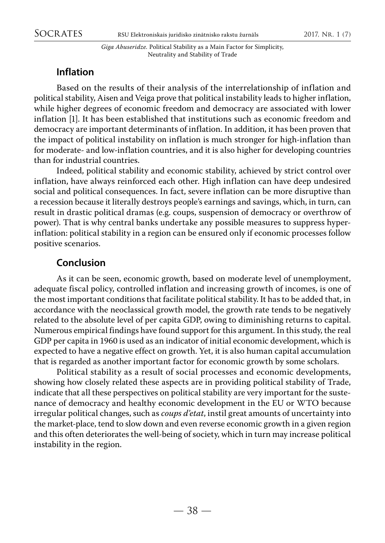## **Inflation**

Based on the results of their analysis of the interrelationship of inflation and political stability, Aisen and Veiga prove that political instability leads to higher inflation, while higher degrees of economic freedom and democracy are associated with lower inflation [1]. It has been established that institutions such as economic freedom and democracy are important determinants of inflation. In addition, it has been proven that the impact of political instability on inflation is much stronger for high-inflation than for moderate- and low-inflation countries, and it is also higher for developing countries than for industrial countries.

Indeed, political stability and economic stability, achieved by strict control over inflation, have always reinforced each other. High inflation can have deep undesired social and political consequences. In fact, severe inflation can be more disruptive than a recession because it literally destroys people's earnings and savings, which, in turn, can result in drastic political dramas (e.g. coups, suspension of democracy or overthrow of power). That is why central banks undertake any possible measures to suppress hyperinflation: political stability in a region can be ensured only if economic processes follow positive scenarios.

## **Conclusion**

As it can be seen, economic growth, based on moderate level of unemployment, adequate fiscal policy, controlled inflation and increasing growth of incomes, is one of the most important conditions that facilitate political stability. It has to be added that, in accordance with the neoclassical growth model, the growth rate tends to be negatively related to the absolute level of per capita GDP, owing to diminishing returns to capital. Numerous empirical findings have found support for this argument. In this study, the real GDP per capita in 1960 is used as an indicator of initial economic development, which is expected to have a negative effect on growth. Yet, it is also human capital accumulation that is regarded as another important factor for economic growth by some scholars.

Political stability as a result of social processes and economic developments, showing how closely related these aspects are in providing political stability of Trade, indicate that all these perspectives on political stability are very important for the sustenance of democracy and healthy economic development in the EU or WTO because irregular political changes, such as *coups d'etat*, instil great amounts of uncertainty into the market-place, tend to slow down and even reverse economic growth in a given region and this often deteriorates the well-being of society, which in turn may increase political instability in the region.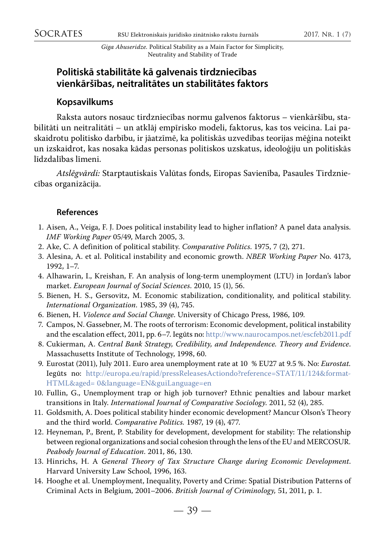#### **Politiskā stabilitāte kā galvenais tirdzniecības vienkāršības, neitralitātes un stabilitātes faktors**

#### **Kopsavilkums**

Raksta autors nosauc tirdzniecības normu galvenos faktorus – vienkāršību, stabilitāti un neitralitāti – un atklāj empīrisko modeli, faktorus, kas tos veicina. Lai paskaidrotu politisko darbību, ir jāatzīmē, ka politiskās uzvedības teorijas mēģina noteikt un izskaidrot, kas nosaka kādas personas politiskos uzskatus, ideoloģiju un politiskās līdzdalības līmeni.

*Atslēgvārdi:* Starptautiskais Valūtas fonds, Eiropas Savienība, Pasaules Tirdzniecības organizācija.

#### **References**

- 1. Aisen, A., Veiga, F. J. Does political instability lead to higher inflation? A panel data analysis. *IMF Working Paper* 05/49, March 2005, 3.
- 2. Ake, C. A definition of political stability. *Comparative Politics*. 1975, 7 (2), 271.
- 3. Alesina, A. et al. Political instability and economic growth. *NBER Working Paper* No. 4173, 1992, 1–7.
- 4. Alhawarin, I., Kreishan, F. An analysis of long-term unemployment (LTU) in Jordan's labor market. *European Journal of Social Sciences*. 2010, 15 (1), 56.
- 5. Bienen, H. S., Gersovitz, M. Economic stabilization, conditionality, and political stability. *International Organization*. 1985, 39 (4), 745.
- 6. Bienen, H. *Violence and Social Change*. University of Chicago Press, 1986, 109.
- 7. Campos, N. Gassebner, M. The roots of terrorism: Economic development, political instability and the escalation effect, 2011, pp. 6–7. Iegūts no: <http://www.naurocampos.net/escfeb2011.pdf>
- 8. Cukierman, A. *Central Bank Strategy, Credibility, and Independence. Theory and Evidence*. Massachusetts Institute of Technology, 1998, 60.
- 9. Eurostat (2011), July 2011. Euro area unemployment rate at 10 % EU27 at 9.5 %. No: *Eurostat.* Iegūts no: http://europa.eu/rapid/pressReleasesActiondo?reference=STAT/11/124&format-HTML&aged= 0&language=EN&guiLanguage=en
- 10. Fullin, G., Unemployment trap or high job turnover? Ethnic penalties and labour market transitions in Italy. *International Journal of Comparative Sociology*. 2011, 52 (4), 285.
- 11. Goldsmith, A. Does political stability hinder economic development? Mancur Olson's Theory and the third world. *Comparative Politics.* 1987, 19 (4), 477.
- 12. Heyneman, P., Brent, P. Stability for development, development for stability: The relationship between regional organizations and social cohesion through the lens of the EU and MERCOSUR*. Peabody Journal of Education*. 2011, 86, 130.
- 13. Hinrichs, H. A *General Theory of Tax Structure Change during Economic Development*. Harvard University Law School, 1996, 163.
- 14. Hooghe et al. Unemployment, Inequality, Poverty and Crime: Spatial Distribution Patterns of Criminal Acts in Belgium, 2001–2006. *British Journal of Criminology,* 51, 2011, p. 1.